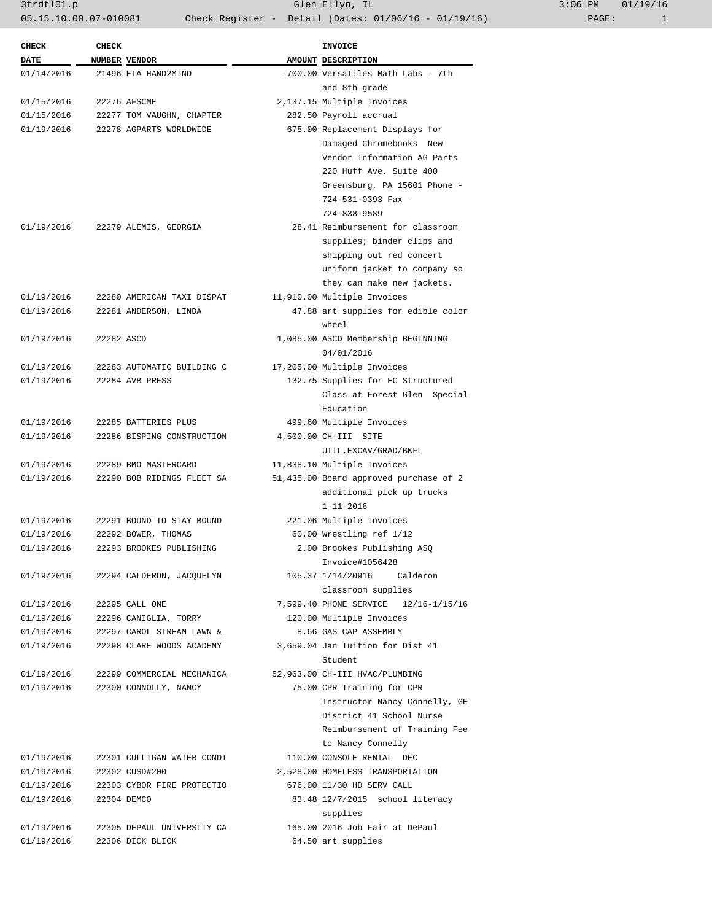3frdtl01.p Glen Ellyn, IL 3:06 PM 01/19/16 05.15.10.00.07-010081 Check Register - Detail (Dates: 01/06/16 - 01/19/16)

| <b>CHECK</b> | <b>CHECK</b> |                            | INVOICE                                |
|--------------|--------------|----------------------------|----------------------------------------|
| <b>DATE</b>  |              | NUMBER VENDOR              | AMOUNT DESCRIPTION                     |
| 01/14/2016   |              | 21496 ETA HAND2MIND        | -700.00 VersaTiles Math Labs - 7th     |
|              |              |                            | and 8th grade                          |
| 01/15/2016   |              | 22276 AFSCME               | 2,137.15 Multiple Invoices             |
| 01/15/2016   |              | 22277 TOM VAUGHN, CHAPTER  | 282.50 Payroll accrual                 |
| 01/19/2016   |              | 22278 AGPARTS WORLDWIDE    | 675.00 Replacement Displays for        |
|              |              |                            | Damaged Chromebooks New                |
|              |              |                            | Vendor Information AG Parts            |
|              |              |                            | 220 Huff Ave, Suite 400                |
|              |              |                            | Greensburg, PA 15601 Phone -           |
|              |              |                            | 724-531-0393 Fax -                     |
|              |              |                            | 724-838-9589                           |
| 01/19/2016   |              | 22279 ALEMIS, GEORGIA      | 28.41 Reimbursement for classroom      |
|              |              |                            | supplies; binder clips and             |
|              |              |                            | shipping out red concert               |
|              |              |                            | uniform jacket to company so           |
|              |              |                            | they can make new jackets.             |
|              |              |                            |                                        |
| 01/19/2016   |              | 22280 AMERICAN TAXI DISPAT | 11,910.00 Multiple Invoices            |
| 01/19/2016   |              | 22281 ANDERSON, LINDA      | 47.88 art supplies for edible color    |
|              |              |                            | wheel                                  |
| 01/19/2016   | 22282 ASCD   |                            | 1,085.00 ASCD Membership BEGINNING     |
|              |              |                            | 04/01/2016                             |
| 01/19/2016   |              | 22283 AUTOMATIC BUILDING C | 17,205.00 Multiple Invoices            |
| 01/19/2016   |              | 22284 AVB PRESS            | 132.75 Supplies for EC Structured      |
|              |              |                            | Class at Forest Glen Special           |
|              |              |                            | Education                              |
| 01/19/2016   |              | 22285 BATTERIES PLUS       | 499.60 Multiple Invoices               |
| 01/19/2016   |              | 22286 BISPING CONSTRUCTION | 4,500.00 CH-III SITE                   |
|              |              |                            | UTIL.EXCAV/GRAD/BKFL                   |
| 01/19/2016   |              | 22289 BMO MASTERCARD       | 11,838.10 Multiple Invoices            |
| 01/19/2016   |              | 22290 BOB RIDINGS FLEET SA | 51,435.00 Board approved purchase of 2 |
|              |              |                            | additional pick up trucks              |
|              |              |                            | $1 - 11 - 2016$                        |
| 01/19/2016   |              | 22291 BOUND TO STAY BOUND  | 221.06 Multiple Invoices               |
| 01/19/2016   |              | 22292 BOWER, THOMAS        | 60.00 Wrestling ref 1/12               |
| 01/19/2016   |              | 22293 BROOKES PUBLISHING   | 2.00 Brookes Publishing ASQ            |
|              |              |                            | Invoice#1056428                        |
| 01/19/2016   |              | 22294 CALDERON, JACOUELYN  | 105.37 1/14/20916 Calderon             |
|              |              |                            | classroom supplies                     |
| 01/19/2016   |              | 22295 CALL ONE             | 7,599.40 PHONE SERVICE 12/16-1/15/16   |
| 01/19/2016   |              | 22296 CANIGLIA, TORRY      | 120.00 Multiple Invoices               |
| 01/19/2016   |              | 22297 CAROL STREAM LAWN &  | 8.66 GAS CAP ASSEMBLY                  |
| 01/19/2016   |              | 22298 CLARE WOODS ACADEMY  | 3,659.04 Jan Tuition for Dist 41       |
|              |              |                            | Student                                |
| 01/19/2016   |              | 22299 COMMERCIAL MECHANICA | 52,963.00 CH-III HVAC/PLUMBING         |
| 01/19/2016   |              | 22300 CONNOLLY, NANCY      | 75.00 CPR Training for CPR             |
|              |              |                            | Instructor Nancy Connelly, GE          |
|              |              |                            | District 41 School Nurse               |
|              |              |                            | Reimbursement of Training Fee          |
|              |              |                            | to Nancy Connelly                      |
| 01/19/2016   |              | 22301 CULLIGAN WATER CONDI | 110.00 CONSOLE RENTAL DEC              |
| 01/19/2016   |              | 22302 CUSD#200             | 2,528.00 HOMELESS TRANSPORTATION       |
| 01/19/2016   |              | 22303 CYBOR FIRE PROTECTIO | 676.00 11/30 HD SERV CALL              |
| 01/19/2016   |              | 22304 DEMCO                | 83.48 12/7/2015 school literacy        |
|              |              |                            |                                        |
|              |              |                            | supplies                               |
| 01/19/2016   |              | 22305 DEPAUL UNIVERSITY CA | 165.00 2016 Job Fair at DePaul         |
| 01/19/2016   |              | 22306 DICK BLICK           | 64.50 art supplies                     |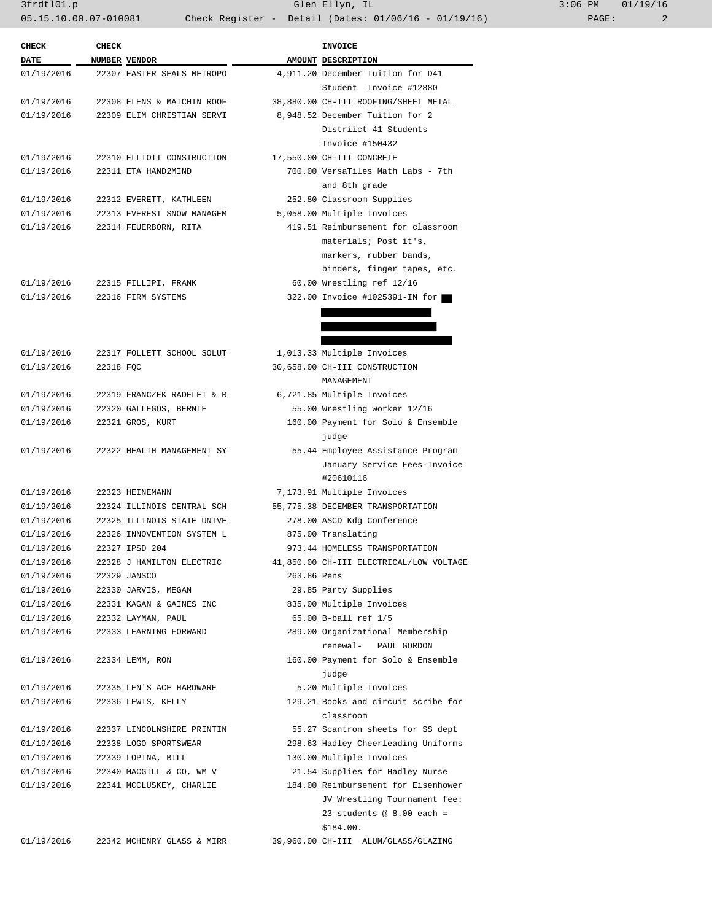3frdtl01.p Glen Ellyn, IL 3:06 PM 01/19/16 05.15.10.00.07-010081 Check Register - Detail (Dates: 01/06/16 - 01/19/16) PAGE: 2

| <b>CHECK</b> | <b>CHECK</b> |                            |             | <b>INVOICE</b>                          |
|--------------|--------------|----------------------------|-------------|-----------------------------------------|
| DATE         |              | NUMBER VENDOR              |             | AMOUNT DESCRIPTION                      |
| 01/19/2016   |              | 22307 EASTER SEALS METROPO |             | 4,911.20 December Tuition for D41       |
|              |              |                            |             | Student Invoice #12880                  |
| 01/19/2016   |              | 22308 ELENS & MAICHIN ROOF |             | 38,880.00 CH-III ROOFING/SHEET METAL    |
| 01/19/2016   |              | 22309 ELIM CHRISTIAN SERVI |             | 8,948.52 December Tuition for 2         |
|              |              |                            |             | Distriict 41 Students                   |
|              |              |                            |             | Invoice #150432                         |
| 01/19/2016   |              | 22310 ELLIOTT CONSTRUCTION |             | 17,550.00 CH-III CONCRETE               |
| 01/19/2016   |              | 22311 ETA HAND2MIND        |             | 700.00 VersaTiles Math Labs - 7th       |
|              |              |                            |             | and 8th grade                           |
| 01/19/2016   |              | 22312 EVERETT, KATHLEEN    |             | 252.80 Classroom Supplies               |
| 01/19/2016   |              | 22313 EVEREST SNOW MANAGEM |             | 5,058.00 Multiple Invoices              |
| 01/19/2016   |              | 22314 FEUERBORN, RITA      |             | 419.51 Reimbursement for classroom      |
|              |              |                            |             | materials; Post it's,                   |
|              |              |                            |             | markers, rubber bands,                  |
|              |              |                            |             | binders, finger tapes, etc.             |
| 01/19/2016   |              | 22315 FILLIPI, FRANK       |             | 60.00 Wrestling ref 12/16               |
| 01/19/2016   |              | 22316 FIRM SYSTEMS         |             | 322.00 Invoice #1025391-IN for          |
|              |              |                            |             |                                         |
|              |              |                            |             |                                         |
|              |              |                            |             |                                         |
| 01/19/2016   |              | 22317 FOLLETT SCHOOL SOLUT |             | 1,013.33 Multiple Invoices              |
| 01/19/2016   | 22318 FQC    |                            |             | 30,658.00 CH-III CONSTRUCTION           |
|              |              |                            |             | MANAGEMENT                              |
| 01/19/2016   |              | 22319 FRANCZEK RADELET & R |             | 6,721.85 Multiple Invoices              |
| 01/19/2016   |              | 22320 GALLEGOS, BERNIE     |             | 55.00 Wrestling worker 12/16            |
| 01/19/2016   |              | 22321 GROS, KURT           |             | 160.00 Payment for Solo & Ensemble      |
|              |              |                            |             | judge                                   |
| 01/19/2016   |              | 22322 HEALTH MANAGEMENT SY |             | 55.44 Employee Assistance Program       |
|              |              |                            |             | January Service Fees-Invoice            |
|              |              |                            |             | #20610116                               |
| 01/19/2016   |              | 22323 HEINEMANN            |             | 7,173.91 Multiple Invoices              |
| 01/19/2016   |              | 22324 ILLINOIS CENTRAL SCH |             | 55,775.38 DECEMBER TRANSPORTATION       |
| 01/19/2016   |              | 22325 ILLINOIS STATE UNIVE |             | 278.00 ASCD Kdg Conference              |
| 01/19/2016   |              | 22326 INNOVENTION SYSTEM L |             | 875.00 Translating                      |
| 01/19/2016   |              | 22327 IPSD 204             |             | 973.44 HOMELESS TRANSPORTATION          |
| 01/19/2016   |              | 22328 J HAMILTON ELECTRIC  |             | 41,850.00 CH-III ELECTRICAL/LOW VOLTAGE |
| 01/19/2016   |              | 22329 JANSCO               | 263.86 Pens |                                         |
| 01/19/2016   |              | 22330 JARVIS, MEGAN        |             | 29.85 Party Supplies                    |
| 01/19/2016   |              | 22331 KAGAN & GAINES INC   |             | 835.00 Multiple Invoices                |
| 01/19/2016   |              | 22332 LAYMAN, PAUL         |             | 65.00 B-ball ref 1/5                    |
| 01/19/2016   |              | 22333 LEARNING FORWARD     |             | 289.00 Organizational Membership        |
|              |              |                            |             | renewal- PAUL GORDON                    |
| 01/19/2016   |              | 22334 LEMM, RON            |             | 160.00 Payment for Solo & Ensemble      |
|              |              |                            |             | judge                                   |
| 01/19/2016   |              | 22335 LEN'S ACE HARDWARE   |             | 5.20 Multiple Invoices                  |
| 01/19/2016   |              | 22336 LEWIS, KELLY         |             | 129.21 Books and circuit scribe for     |
|              |              |                            |             | classroom                               |
| 01/19/2016   |              | 22337 LINCOLNSHIRE PRINTIN |             | 55.27 Scantron sheets for SS dept       |
| 01/19/2016   |              | 22338 LOGO SPORTSWEAR      |             | 298.63 Hadley Cheerleading Uniforms     |
| 01/19/2016   |              | 22339 LOPINA, BILL         |             | 130.00 Multiple Invoices                |
| 01/19/2016   |              | 22340 MACGILL & CO, WM V   |             | 21.54 Supplies for Hadley Nurse         |
| 01/19/2016   |              | 22341 MCCLUSKEY, CHARLIE   |             | 184.00 Reimbursement for Eisenhower     |
|              |              |                            |             | JV Wrestling Tournament fee:            |
|              |              |                            |             | 23 students @ $8.00$ each =             |
|              |              |                            |             |                                         |
|              |              |                            |             | \$184.00.                               |
| 01/19/2016   |              | 22342 MCHENRY GLASS & MIRR |             | 39,960.00 CH-III ALUM/GLASS/GLAZING     |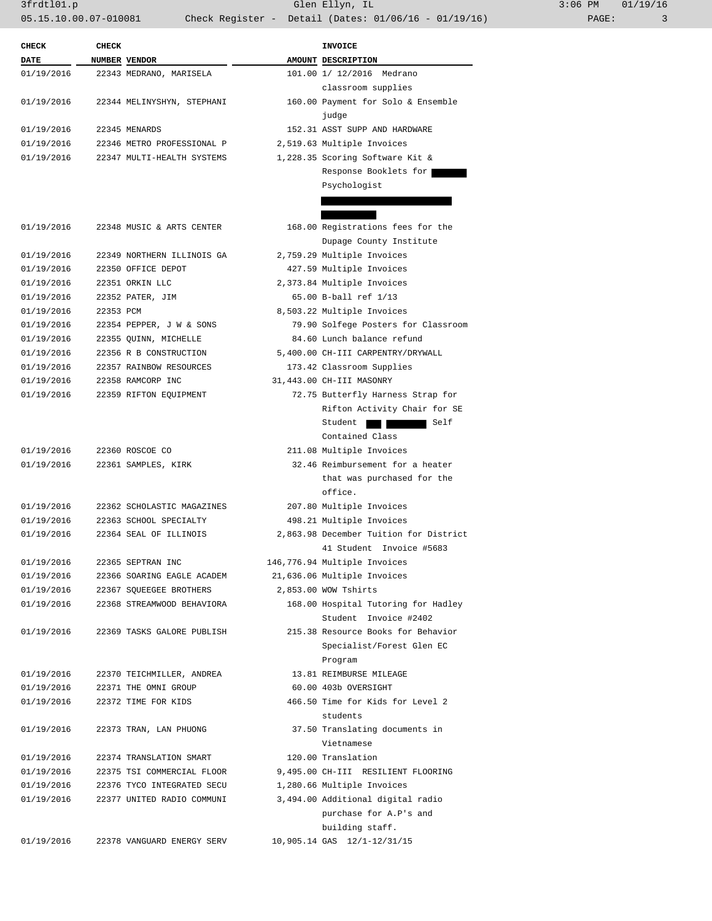3frdtl01.p Glen Ellyn, IL 3:06 PM 01/19/16 05.15.10.00.07-010081 Check Register - Detail (Dates: 01/06/16 - 01/19/16) PAGE: 3

| <b>CHECK</b> | <b>CHECK</b> |                            | <b>INVOICE</b>                                 |
|--------------|--------------|----------------------------|------------------------------------------------|
| DATE         |              | NUMBER VENDOR              | AMOUNT DESCRIPTION                             |
| 01/19/2016   |              | 22343 MEDRANO, MARISELA    | 101.00 1/ 12/2016 Medrano                      |
|              |              |                            | classroom supplies                             |
| 01/19/2016   |              | 22344 MELINYSHYN, STEPHANI | 160.00 Payment for Solo & Ensemble             |
|              |              |                            | judge                                          |
| 01/19/2016   |              | 22345 MENARDS              | 152.31 ASST SUPP AND HARDWARE                  |
| 01/19/2016   |              | 22346 METRO PROFESSIONAL P | 2,519.63 Multiple Invoices                     |
| 01/19/2016   |              | 22347 MULTI-HEALTH SYSTEMS | 1,228.35 Scoring Software Kit &                |
|              |              |                            | Response Booklets for<br>Psychologist          |
|              |              |                            |                                                |
|              |              |                            |                                                |
| 01/19/2016   |              | 22348 MUSIC & ARTS CENTER  | 168.00 Registrations fees for the              |
|              |              |                            | Dupage County Institute                        |
| 01/19/2016   |              | 22349 NORTHERN ILLINOIS GA | 2,759.29 Multiple Invoices                     |
| 01/19/2016   |              | 22350 OFFICE DEPOT         | 427.59 Multiple Invoices                       |
| 01/19/2016   |              | 22351 ORKIN LLC            | 2,373.84 Multiple Invoices                     |
| 01/19/2016   |              | 22352 PATER, JIM           | 65.00 B-ball ref 1/13                          |
| 01/19/2016   | 22353 PCM    |                            | 8,503.22 Multiple Invoices                     |
| 01/19/2016   |              | 22354 PEPPER, J W & SONS   | 79.90 Solfege Posters for Classroom            |
| 01/19/2016   |              | 22355 QUINN, MICHELLE      | 84.60 Lunch balance refund                     |
| 01/19/2016   |              | 22356 R B CONSTRUCTION     | 5,400.00 CH-III CARPENTRY/DRYWALL              |
| 01/19/2016   |              | 22357 RAINBOW RESOURCES    | 173.42 Classroom Supplies                      |
| 01/19/2016   |              | 22358 RAMCORP INC          | 31,443.00 CH-III MASONRY                       |
| 01/19/2016   |              | 22359 RIFTON EQUIPMENT     | 72.75 Butterfly Harness Strap for              |
|              |              |                            | Rifton Activity Chair for SE                   |
|              |              |                            | Student<br>Self                                |
|              |              |                            | Contained Class                                |
| 01/19/2016   |              | 22360 ROSCOE CO            | 211.08 Multiple Invoices                       |
| 01/19/2016   |              | 22361 SAMPLES, KIRK        | 32.46 Reimbursement for a heater               |
|              |              |                            | that was purchased for the<br>office.          |
| 01/19/2016   |              | 22362 SCHOLASTIC MAGAZINES | 207.80 Multiple Invoices                       |
| 01/19/2016   |              | 22363 SCHOOL SPECIALTY     | 498.21 Multiple Invoices                       |
| 01/19/2016   |              | 22364 SEAL OF ILLINOIS     | 2,863.98 December Tuition for District         |
|              |              |                            | 41 Student Invoice #5683                       |
| 01/19/2016   |              | 22365 SEPTRAN INC          | 146,776.94 Multiple Invoices                   |
| 01/19/2016   |              | 22366 SOARING EAGLE ACADEM | 21,636.06 Multiple Invoices                    |
| 01/19/2016   |              | 22367 SQUEEGEE BROTHERS    | 2,853.00 WOW Tshirts                           |
| 01/19/2016   |              | 22368 STREAMWOOD BEHAVIORA | 168.00 Hospital Tutoring for Hadley            |
|              |              |                            | Student Invoice #2402                          |
| 01/19/2016   |              | 22369 TASKS GALORE PUBLISH | 215.38 Resource Books for Behavior             |
|              |              |                            | Specialist/Forest Glen EC                      |
|              |              |                            | Program                                        |
| 01/19/2016   |              | 22370 TEICHMILLER, ANDREA  | 13.81 REIMBURSE MILEAGE                        |
| 01/19/2016   |              | 22371 THE OMNI GROUP       | 60.00 403b OVERSIGHT                           |
| 01/19/2016   |              | 22372 TIME FOR KIDS        | 466.50 Time for Kids for Level 2               |
|              |              |                            | students                                       |
| 01/19/2016   |              | 22373 TRAN, LAN PHUONG     | 37.50 Translating documents in                 |
|              |              |                            | Vietnamese                                     |
| 01/19/2016   |              | 22374 TRANSLATION SMART    | 120.00 Translation                             |
| 01/19/2016   |              | 22375 TSI COMMERCIAL FLOOR | 9,495.00 CH-III RESILIENT FLOORING             |
| 01/19/2016   |              | 22376 TYCO INTEGRATED SECU | 1,280.66 Multiple Invoices                     |
| 01/19/2016   |              | 22377 UNITED RADIO COMMUNI | 3,494.00 Additional digital radio              |
|              |              |                            | purchase for A.P's and                         |
|              |              | 22378 VANGUARD ENERGY SERV | building staff.<br>10,905.14 GAS 12/1-12/31/15 |
| 01/19/2016   |              |                            |                                                |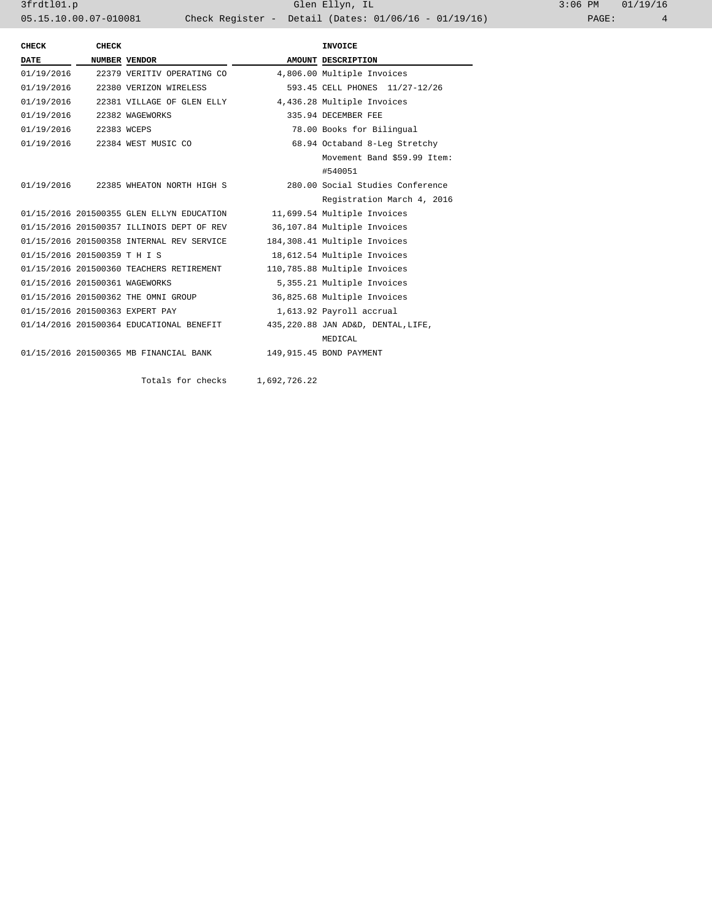3frdtl01.p Glen Ellyn, IL 3:06 PM 01/19/16 05.15.10.00.07-010081 Check Register - Detail (Dates: 01/06/16 - 01/19/16)

| <b>CHECK</b>                   | <b>CHECK</b> |                                           | INVOICE                             |
|--------------------------------|--------------|-------------------------------------------|-------------------------------------|
| <b>DATE</b>                    |              | NUMBER VENDOR                             | AMOUNT DESCRIPTION                  |
| 01/19/2016                     |              | 22379 VERITIV OPERATING CO                | 4,806.00 Multiple Invoices          |
| 01/19/2016                     |              | 22380 VERIZON WIRELESS                    | 593.45 CELL PHONES 11/27-12/26      |
|                                |              | 01/19/2016 22381 VILLAGE OF GLEN ELLY     | 4,436.28 Multiple Invoices          |
| 01/19/2016 22382 WAGEWORKS     |              |                                           | 335.94 DECEMBER FEE                 |
| 01/19/2016 22383 WCEPS         |              |                                           | 78.00 Books for Bilingual           |
|                                |              | 01/19/2016 22384 WEST MUSIC CO            | 68.94 Octaband 8-Leg Stretchy       |
|                                |              |                                           | Movement Band \$59.99 Item:         |
|                                |              |                                           | #540051                             |
|                                |              | 01/19/2016 22385 WHEATON NORTH HIGH S     | 280.00 Social Studies Conference    |
|                                |              |                                           | Registration March 4, 2016          |
|                                |              | 01/15/2016 201500355 GLEN ELLYN EDUCATION | 11,699.54 Multiple Invoices         |
|                                |              | 01/15/2016 201500357 ILLINOIS DEPT OF REV | 36,107.84 Multiple Invoices         |
|                                |              | 01/15/2016 201500358 INTERNAL REV SERVICE | 184,308.41 Multiple Invoices        |
| 01/15/2016 201500359 T H I S   |              |                                           | 18,612.54 Multiple Invoices         |
|                                |              | 01/15/2016 201500360 TEACHERS RETIREMENT  | 110,785.88 Multiple Invoices        |
| 01/15/2016 201500361 WAGEWORKS |              |                                           | 5,355.21 Multiple Invoices          |
|                                |              | 01/15/2016 201500362 THE OMNI GROUP       | 36,825.68 Multiple Invoices         |
|                                |              | 01/15/2016 201500363 EXPERT PAY           | 1,613.92 Payroll accrual            |
|                                |              | 01/14/2016 201500364 EDUCATIONAL BENEFIT  | 435, 220.88 JAN AD&D, DENTAL, LIFE, |
|                                |              |                                           | MEDICAL                             |
|                                |              | 01/15/2016 201500365 MB FINANCIAL BANK    | 149,915.45 BOND PAYMENT             |
|                                |              |                                           |                                     |

Totals for checks 1,692,726.22